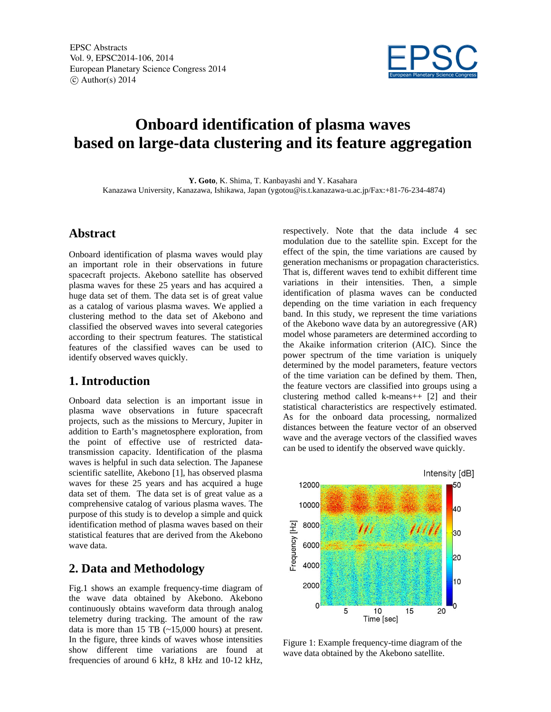

# **Onboard identification of plasma waves based on large-data clustering and its feature aggregation**

**Y. Goto**, K. Shima, T. Kanbayashi and Y. Kasahara Kanazawa University, Kanazawa, Ishikawa, Japan (ygotou@is.t.kanazawa-u.ac.jp/Fax:+81-76-234-4874)

#### **Abstract**

Onboard identification of plasma waves would play an important role in their observations in future spacecraft projects. Akebono satellite has observed plasma waves for these 25 years and has acquired a huge data set of them. The data set is of great value as a catalog of various plasma waves. We applied a clustering method to the data set of Akebono and classified the observed waves into several categories according to their spectrum features. The statistical features of the classified waves can be used to identify observed waves quickly.

#### **1. Introduction**

Onboard data selection is an important issue in plasma wave observations in future spacecraft projects, such as the missions to Mercury, Jupiter in addition to Earth's magnetosphere exploration, from the point of effective use of restricted datatransmission capacity. Identification of the plasma waves is helpful in such data selection. The Japanese scientific satellite, Akebono [1], has observed plasma waves for these 25 years and has acquired a huge data set of them. The data set is of great value as a comprehensive catalog of various plasma waves. The purpose of this study is to develop a simple and quick identification method of plasma waves based on their statistical features that are derived from the Akebono wave data.

#### **2. Data and Methodology**

Fig.1 shows an example frequency-time diagram of the wave data obtained by Akebono. Akebono continuously obtains waveform data through analog telemetry during tracking. The amount of the raw data is more than 15 TB  $(\sim 15,000$  hours) at present. In the figure, three kinds of waves whose intensities show different time variations are found at frequencies of around 6 kHz, 8 kHz and 10-12 kHz,

respectively. Note that the data include 4 sec modulation due to the satellite spin. Except for the effect of the spin, the time variations are caused by generation mechanisms or propagation characteristics. That is, different waves tend to exhibit different time variations in their intensities. Then, a simple identification of plasma waves can be conducted depending on the time variation in each frequency band. In this study, we represent the time variations of the Akebono wave data by an autoregressive (AR) model whose parameters are determined according to the Akaike information criterion (AIC). Since the power spectrum of the time variation is uniquely determined by the model parameters, feature vectors of the time variation can be defined by them. Then, the feature vectors are classified into groups using a clustering method called k-means++ [2] and their statistical characteristics are respectively estimated. As for the onboard data processing, normalized distances between the feature vector of an observed wave and the average vectors of the classified waves can be used to identify the observed wave quickly.



Figure 1: Example frequency-time diagram of the wave data obtained by the Akebono satellite.